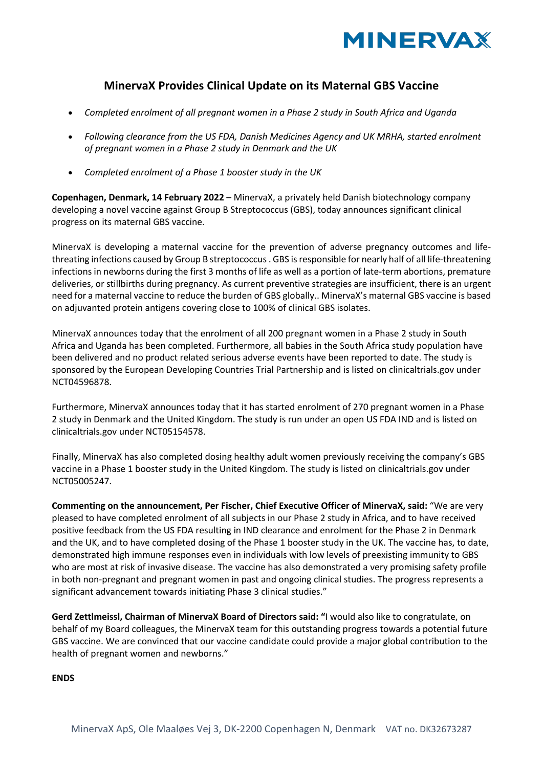

## **MinervaX Provides Clinical Update on its Maternal GBS Vaccine**

- *Completed enrolment of all pregnant women in a Phase 2 study in South Africa and Uganda*
- *Following clearance from the US FDA, Danish Medicines Agency and UK MRHA, started enrolment of pregnant women in a Phase 2 study in Denmark and the UK*
- *Completed enrolment of a Phase 1 booster study in the UK*

**Copenhagen, Denmark, 14 February 2022** – MinervaX, a privately held Danish biotechnology company developing a novel vaccine against Group B Streptococcus (GBS), today announces significant clinical progress on its maternal GBS vaccine.

MinervaX is developing a maternal vaccine for the prevention of adverse pregnancy outcomes and lifethreating infections caused by Group B streptococcus . GBS is responsible for nearly half of all life-threatening infections in newborns during the first 3 months of life as well as a portion of late-term abortions, premature deliveries, or stillbirths during pregnancy. As current preventive strategies are insufficient, there is an urgent need for a maternal vaccine to reduce the burden of GBS globally.. MinervaX's maternal GBS vaccine is based on adjuvanted protein antigens covering close to 100% of clinical GBS isolates.

MinervaX announces today that the enrolment of all 200 pregnant women in a Phase 2 study in South Africa and Uganda has been completed. Furthermore, all babies in the South Africa study population have been delivered and no product related serious adverse events have been reported to date. The study is sponsored by the European Developing Countries Trial Partnership and is listed on clinicaltrials.gov under NCT04596878.

Furthermore, MinervaX announces today that it has started enrolment of 270 pregnant women in a Phase 2 study in Denmark and the United Kingdom. The study is run under an open US FDA IND and is listed on clinicaltrials.gov under NCT05154578.

Finally, MinervaX has also completed dosing healthy adult women previously receiving the company's GBS vaccine in a Phase 1 booster study in the United Kingdom. The study is listed on clinicaltrials.gov under NCT05005247.

**Commenting on the announcement, Per Fischer, Chief Executive Officer of MinervaX, said:** "We are very pleased to have completed enrolment of all subjects in our Phase 2 study in Africa, and to have received positive feedback from the US FDA resulting in IND clearance and enrolment for the Phase 2 in Denmark and the UK, and to have completed dosing of the Phase 1 booster study in the UK. The vaccine has, to date, demonstrated high immune responses even in individuals with low levels of preexisting immunity to GBS who are most at risk of invasive disease. The vaccine has also demonstrated a very promising safety profile in both non-pregnant and pregnant women in past and ongoing clinical studies. The progress represents a significant advancement towards initiating Phase 3 clinical studies."

**Gerd Zettlmeissl, Chairman of MinervaX Board of Directors said: "**I would also like to congratulate, on behalf of my Board colleagues, the MinervaX team for this outstanding progress towards a potential future GBS vaccine. We are convinced that our vaccine candidate could provide a major global contribution to the health of pregnant women and newborns."

**ENDS**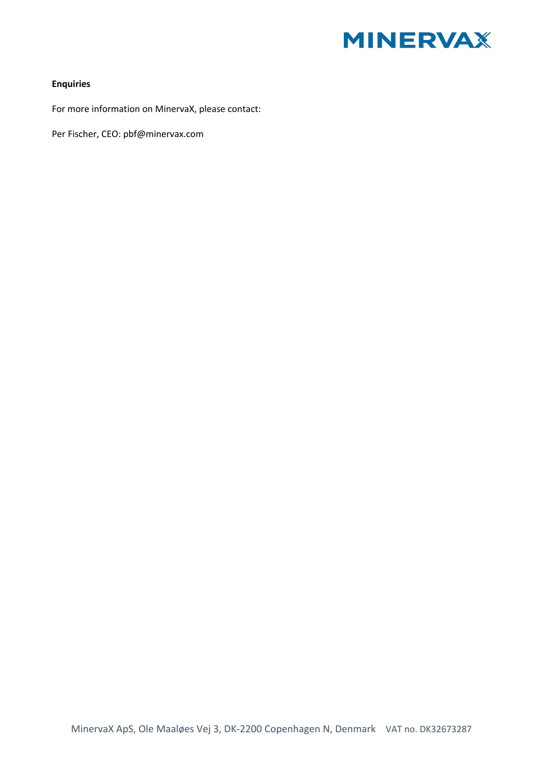

## **Enquiries**

For more information on MinervaX, please contact:

Per Fischer, CEO: pbf@minervax.com